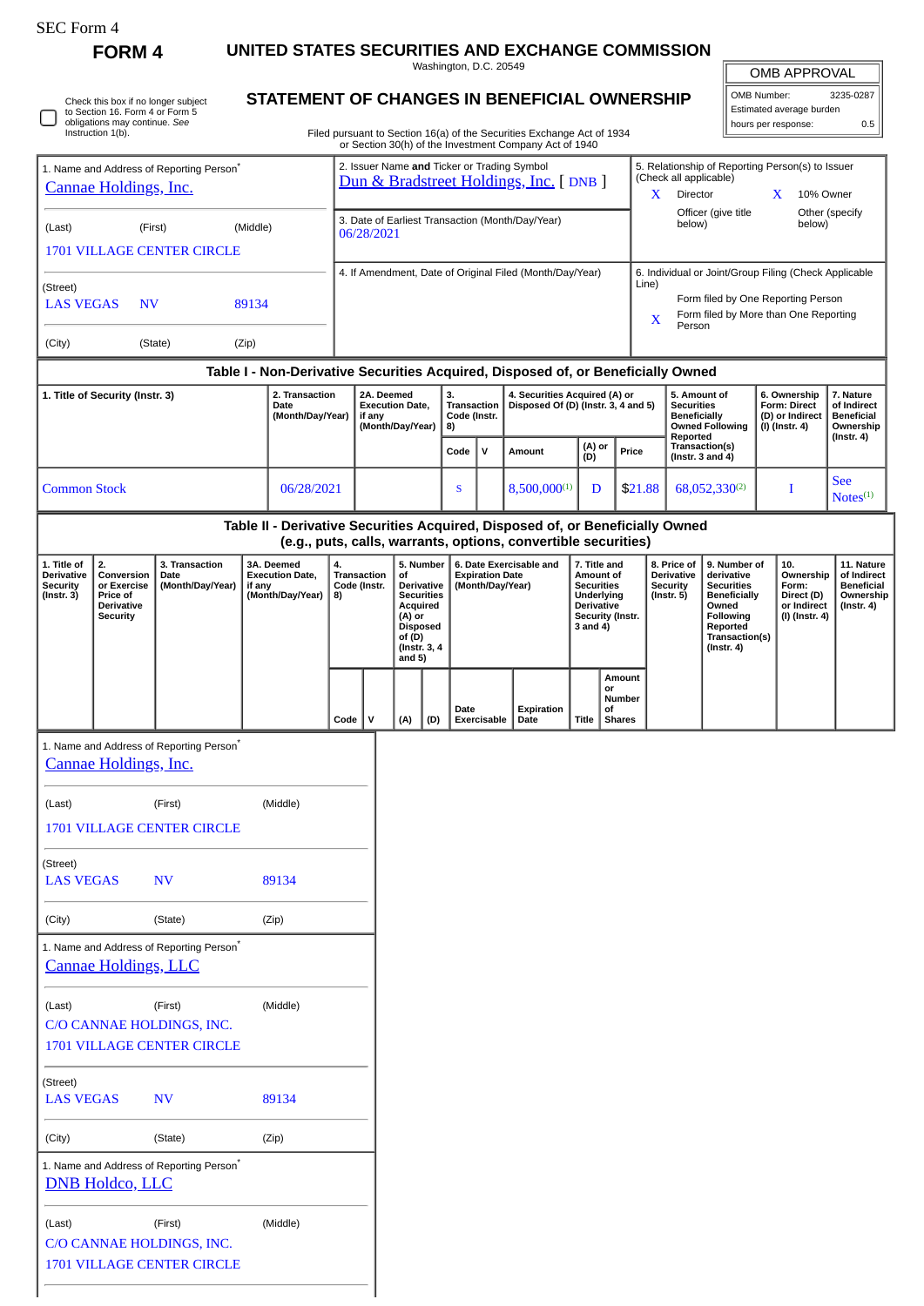$\overline{\mathsf{I}}$ Г

Check this box if no longer subject to Section 16. Form 4 or Form 5 obligations may continue. *See* Instruction 1(b).

**FORM 4 UNITED STATES SECURITIES AND EXCHANGE COMMISSION**

**STATEMENT OF CHANGES IN BENEFICIAL OWNERSHIP**

Washington, D.C. 20549

OMB APPROVAL

| OMB Number:              | 3235-0287 |
|--------------------------|-----------|
| Estimated average burden |           |
| hours per response:      | 0.5       |

Filed pursuant to Section 16(a) of the Securities Exchange Act of 1934 or Section 30(h) of the Investment Company Act of 1940

| 1. Name and Address of Reporting Person <sup>*</sup><br>Cannae Holdings, Inc. |                                                                                     |                                                                    |                                                                                  |                                                                | 2. Issuer Name and Ticker or Trading Symbol<br>Dun & Bradstreet Holdings, Inc. [ DNB ] |              |                                    |                                                                                             |                                            |                                          |                         |                                                                                                                                                              | 5. Relationship of Reporting Person(s) to Issuer<br>(Check all applicable)<br>Director<br>10% Owner<br>X.<br>X    |                           |                  |                                                                  |                                                                                                                                                |  |                                                                          |                                                                                 |  |
|-------------------------------------------------------------------------------|-------------------------------------------------------------------------------------|--------------------------------------------------------------------|----------------------------------------------------------------------------------|----------------------------------------------------------------|----------------------------------------------------------------------------------------|--------------|------------------------------------|---------------------------------------------------------------------------------------------|--------------------------------------------|------------------------------------------|-------------------------|--------------------------------------------------------------------------------------------------------------------------------------------------------------|-------------------------------------------------------------------------------------------------------------------|---------------------------|------------------|------------------------------------------------------------------|------------------------------------------------------------------------------------------------------------------------------------------------|--|--------------------------------------------------------------------------|---------------------------------------------------------------------------------|--|
| (Last)                                                                        |                                                                                     | (First)<br><b>1701 VILLAGE CENTER CIRCLE</b>                       | (Middle)                                                                         | 3. Date of Earliest Transaction (Month/Day/Year)<br>06/28/2021 |                                                                                        |              |                                    |                                                                                             |                                            |                                          |                         |                                                                                                                                                              | Officer (give title<br>below)                                                                                     |                           | below)           | Other (specify                                                   |                                                                                                                                                |  |                                                                          |                                                                                 |  |
| (Street)<br><b>LAS VEGAS</b><br><b>NV</b><br>89134                            |                                                                                     |                                                                    |                                                                                  | 4. If Amendment, Date of Original Filed (Month/Day/Year)       |                                                                                        |              |                                    |                                                                                             |                                            |                                          |                         | 6. Individual or Joint/Group Filing (Check Applicable<br>Line)<br>Form filed by One Reporting Person<br>Form filed by More than One Reporting<br>X<br>Person |                                                                                                                   |                           |                  |                                                                  |                                                                                                                                                |  |                                                                          |                                                                                 |  |
| (City)                                                                        |                                                                                     | (State)                                                            | (Zip)                                                                            |                                                                |                                                                                        |              |                                    |                                                                                             |                                            |                                          |                         |                                                                                                                                                              |                                                                                                                   |                           |                  |                                                                  |                                                                                                                                                |  |                                                                          |                                                                                 |  |
|                                                                               |                                                                                     |                                                                    | Table I - Non-Derivative Securities Acquired, Disposed of, or Beneficially Owned |                                                                |                                                                                        |              |                                    |                                                                                             | 3.                                         |                                          |                         |                                                                                                                                                              |                                                                                                                   |                           |                  |                                                                  |                                                                                                                                                |  |                                                                          |                                                                                 |  |
|                                                                               | 1. Title of Security (Instr. 3)                                                     |                                                                    | 2. Transaction<br>Date<br>(Month/Day/Year)                                       |                                                                | 2A. Deemed<br><b>Execution Date,</b><br>if any<br>(Month/Day/Year)                     |              |                                    |                                                                                             |                                            | <b>Transaction</b><br>Code (Instr.<br>8) |                         | 4. Securities Acquired (A) or                                                                                                                                | Disposed Of (D) (Instr. 3, 4 and 5)                                                                               |                           |                  | Reported                                                         | 5. Amount of<br><b>Securities</b><br><b>Beneficially</b><br><b>Owned Following</b>                                                             |  | 6. Ownership<br>Form: Direct<br>(D) or Indirect<br>$(I)$ (Instr. 4)      | 7. Nature<br>of Indirect<br><b>Beneficial</b><br>Ownership<br>(Instr. 4)        |  |
|                                                                               |                                                                                     |                                                                    |                                                                                  |                                                                |                                                                                        |              |                                    |                                                                                             | Code                                       | $\mathbf v$                              | Amount                  |                                                                                                                                                              | (D)                                                                                                               | (A) or                    | Price            |                                                                  | Transaction(s)<br>(Instr. $3$ and $4$ )                                                                                                        |  |                                                                          |                                                                                 |  |
| <b>Common Stock</b>                                                           |                                                                                     |                                                                    | 06/28/2021                                                                       |                                                                |                                                                                        |              | S                                  |                                                                                             |                                            | 8,500,000(1)<br>D                        |                         | \$21.88                                                                                                                                                      | 68,052,330(2)                                                                                                     |                           | I                |                                                                  | <b>See</b><br>Notes <sup>(1)</sup>                                                                                                             |  |                                                                          |                                                                                 |  |
|                                                                               |                                                                                     |                                                                    | Table II - Derivative Securities Acquired, Disposed of, or Beneficially Owned    |                                                                |                                                                                        |              |                                    |                                                                                             |                                            |                                          |                         | (e.g., puts, calls, warrants, options, convertible securities)                                                                                               |                                                                                                                   |                           |                  |                                                                  |                                                                                                                                                |  |                                                                          |                                                                                 |  |
| 1. Title of<br><b>Derivative</b><br><b>Security</b><br>$($ Instr. 3 $)$       | 2.<br>Conversion<br>or Exercise<br>Price of<br><b>Derivative</b><br><b>Security</b> | 3. Transaction<br>Date<br>(Month/Day/Year)                         | 3A. Deemed<br><b>Execution Date,</b><br>if any<br>(Month/Day/Year)               |                                                                | 4.<br>Transaction<br>Code (Instr.<br>8)                                                |              | of<br>(A) or<br>of (D)<br>and $5)$ | 5. Number<br>Derivative<br><b>Securities</b><br>Acquired<br><b>Disposed</b><br>(Instr. 3, 4 | <b>Expiration Date</b><br>(Month/Day/Year) |                                          | 6. Date Exercisable and |                                                                                                                                                              | 7. Title and<br>Amount of<br><b>Securities</b><br>Underlying<br><b>Derivative</b><br>Security (Instr.<br>3 and 4) |                           |                  | 8. Price of<br>Derivative<br><b>Security</b><br>$($ Instr. 5 $)$ | 9. Number of<br>derivative<br><b>Securities</b><br><b>Beneficially</b><br>Owned<br>Following<br>Reported<br>Transaction(s)<br>$($ Instr. 4 $)$ |  | 10.<br>Ownership<br>Form:<br>Direct (D)<br>or Indirect<br>(I) (Instr. 4) | 11. Nature<br>of Indirect<br><b>Beneficial</b><br>Ownership<br>$($ lnstr. 4 $)$ |  |
|                                                                               |                                                                                     |                                                                    |                                                                                  |                                                                | Code                                                                                   | $\mathsf{v}$ | (A)                                | (D)                                                                                         | Date                                       | <b>Exercisable</b>                       |                         | Expiration<br>Date                                                                                                                                           | Title                                                                                                             | or<br>Οf<br><b>Shares</b> | Amount<br>Number |                                                                  |                                                                                                                                                |  |                                                                          |                                                                                 |  |
|                                                                               | Cannae Holdings, Inc.                                                               | 1. Name and Address of Reporting Person <sup>®</sup>               |                                                                                  |                                                                |                                                                                        |              |                                    |                                                                                             |                                            |                                          |                         |                                                                                                                                                              |                                                                                                                   |                           |                  |                                                                  |                                                                                                                                                |  |                                                                          |                                                                                 |  |
| (Last)                                                                        |                                                                                     | (First)<br><b>1701 VILLAGE CENTER CIRCLE</b>                       | (Middle)                                                                         |                                                                |                                                                                        |              |                                    |                                                                                             |                                            |                                          |                         |                                                                                                                                                              |                                                                                                                   |                           |                  |                                                                  |                                                                                                                                                |  |                                                                          |                                                                                 |  |
| (Street)<br><b>LAS VEGAS</b>                                                  |                                                                                     | <b>NV</b>                                                          | 89134                                                                            |                                                                |                                                                                        |              |                                    |                                                                                             |                                            |                                          |                         |                                                                                                                                                              |                                                                                                                   |                           |                  |                                                                  |                                                                                                                                                |  |                                                                          |                                                                                 |  |
| (City)                                                                        |                                                                                     | (State)                                                            | (Zip)                                                                            |                                                                |                                                                                        |              |                                    |                                                                                             |                                            |                                          |                         |                                                                                                                                                              |                                                                                                                   |                           |                  |                                                                  |                                                                                                                                                |  |                                                                          |                                                                                 |  |
|                                                                               | <b>Cannae Holdings, LLC</b>                                                         | 1. Name and Address of Reporting Person <sup>*</sup>               |                                                                                  |                                                                |                                                                                        |              |                                    |                                                                                             |                                            |                                          |                         |                                                                                                                                                              |                                                                                                                   |                           |                  |                                                                  |                                                                                                                                                |  |                                                                          |                                                                                 |  |
| (Last)                                                                        |                                                                                     | (First)<br>C/O CANNAE HOLDINGS, INC.<br>1701 VILLAGE CENTER CIRCLE | (Middle)                                                                         |                                                                |                                                                                        |              |                                    |                                                                                             |                                            |                                          |                         |                                                                                                                                                              |                                                                                                                   |                           |                  |                                                                  |                                                                                                                                                |  |                                                                          |                                                                                 |  |
| (Street)<br><b>LAS VEGAS</b>                                                  |                                                                                     | <b>NV</b>                                                          | 89134                                                                            |                                                                |                                                                                        |              |                                    |                                                                                             |                                            |                                          |                         |                                                                                                                                                              |                                                                                                                   |                           |                  |                                                                  |                                                                                                                                                |  |                                                                          |                                                                                 |  |
| (City)                                                                        |                                                                                     | (State)                                                            | (Zip)                                                                            |                                                                |                                                                                        |              |                                    |                                                                                             |                                            |                                          |                         |                                                                                                                                                              |                                                                                                                   |                           |                  |                                                                  |                                                                                                                                                |  |                                                                          |                                                                                 |  |
|                                                                               | <b>DNB Holdco, LLC</b>                                                              | 1. Name and Address of Reporting Person <sup>*</sup>               |                                                                                  |                                                                |                                                                                        |              |                                    |                                                                                             |                                            |                                          |                         |                                                                                                                                                              |                                                                                                                   |                           |                  |                                                                  |                                                                                                                                                |  |                                                                          |                                                                                 |  |
| (Last)                                                                        |                                                                                     | (First)<br>C/O CANNAE HOLDINGS, INC.<br>1701 VILLAGE CENTER CIRCLE | (Middle)                                                                         |                                                                |                                                                                        |              |                                    |                                                                                             |                                            |                                          |                         |                                                                                                                                                              |                                                                                                                   |                           |                  |                                                                  |                                                                                                                                                |  |                                                                          |                                                                                 |  |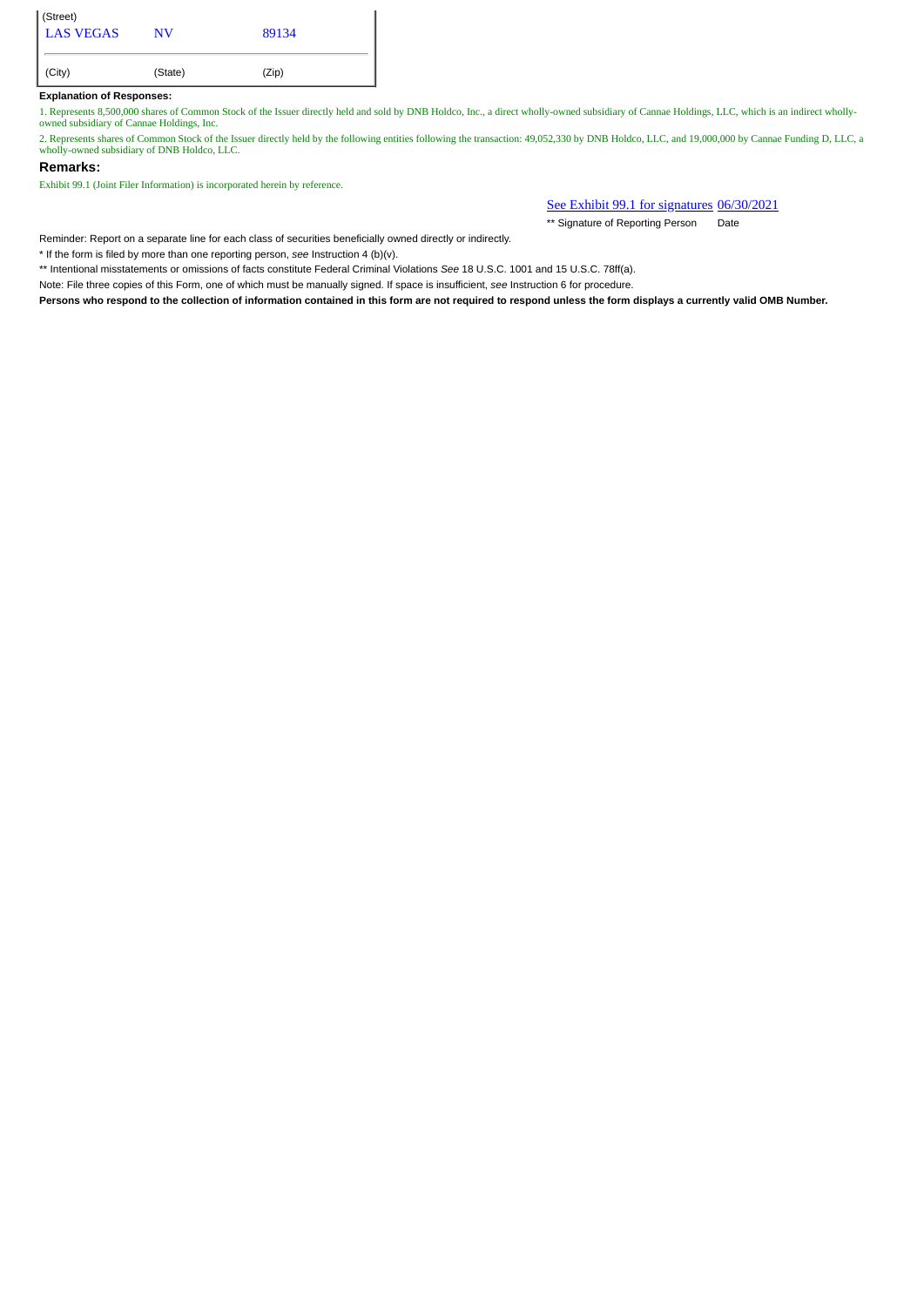| (Street)<br>LAS VEGAS | NV      | 89134 |
|-----------------------|---------|-------|
| (City)                | (State) | (Zip) |

## **Explanation of Responses:**

1. Represents 8,500,000 shares of Common Stock of the Issuer directly held and sold by DNB Holdco, Inc., a direct wholly-owned subsidiary of Cannae Holdings, LLC, which is an indirect whollyowned subsidiary of Cannae Holdings, Inc.

2. Represents shares of Common Stock of the Issuer directly held by the following entities following the transaction: 49,052,330 by DNB Holdco, LLC, and 19,000,000 by Cannae Funding D, LLC, a wholly-owned subsidiary of DNB Holdco, LLC.

## **Remarks:**

Exhibit 99.1 (Joint Filer Information) is incorporated herein by reference.

See Exhibit 99.1 for signatures 06/30/2021

\*\* Signature of Reporting Person Date

Reminder: Report on a separate line for each class of securities beneficially owned directly or indirectly.

\* If the form is filed by more than one reporting person, *see* Instruction 4 (b)(v).

\*\* Intentional misstatements or omissions of facts constitute Federal Criminal Violations *See* 18 U.S.C. 1001 and 15 U.S.C. 78ff(a).

Note: File three copies of this Form, one of which must be manually signed. If space is insufficient, *see* Instruction 6 for procedure.

**Persons who respond to the collection of information contained in this form are not required to respond unless the form displays a currently valid OMB Number.**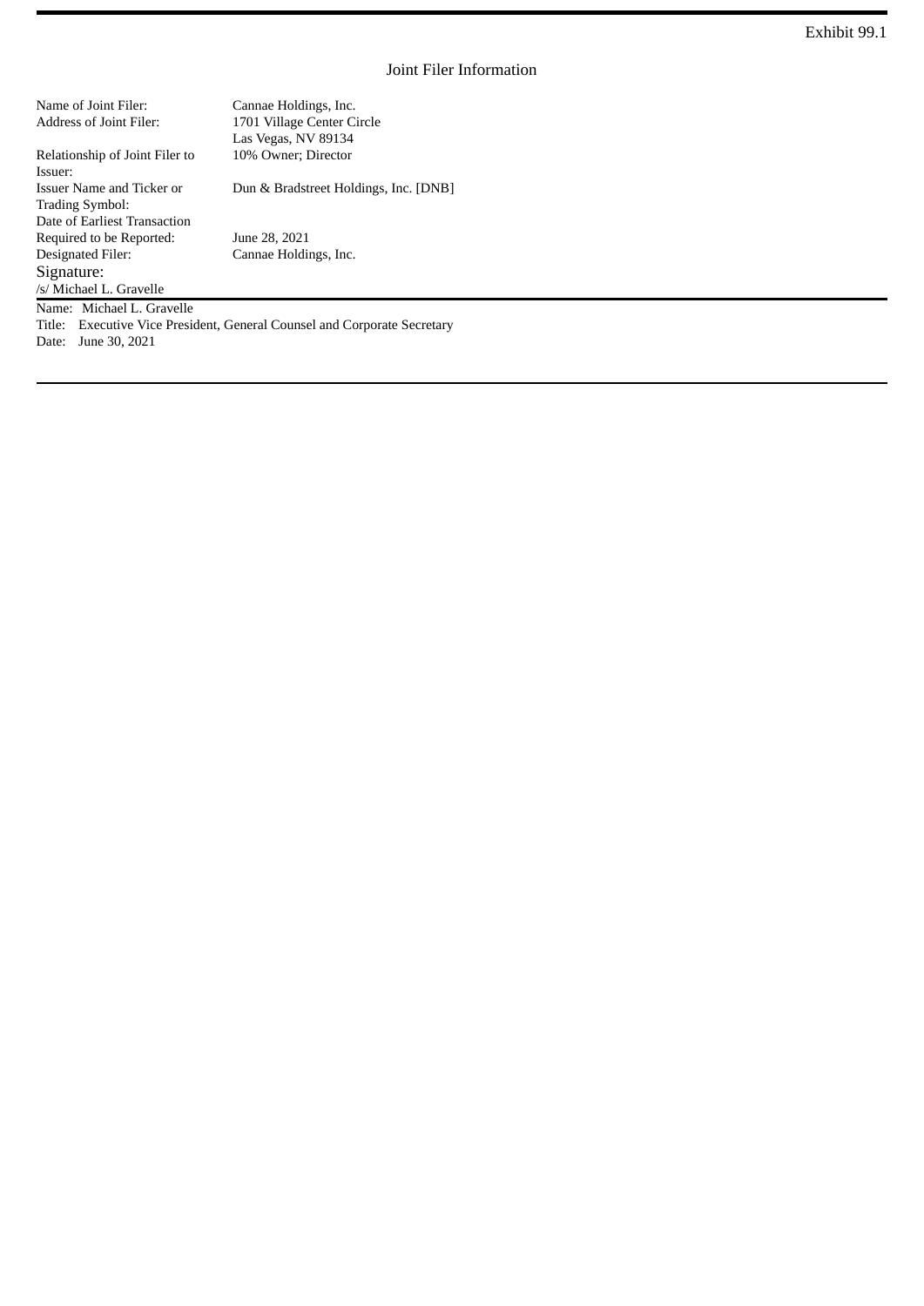| Name of Joint Filer:           | Cannae Holdings, Inc.                 |
|--------------------------------|---------------------------------------|
| Address of Joint Filer:        | 1701 Village Center Circle            |
|                                | Las Vegas, NV 89134                   |
| Relationship of Joint Filer to | 10% Owner; Director                   |
| Issuer:                        |                                       |
| Issuer Name and Ticker or      | Dun & Bradstreet Holdings, Inc. [DNB] |
| <b>Trading Symbol:</b>         |                                       |
| Date of Earliest Transaction   |                                       |
| Required to be Reported:       | June 28, 2021                         |
| Designated Filer:              | Cannae Holdings, Inc.                 |
| Signature:                     |                                       |
| /s/ Michael L. Gravelle        |                                       |

Name: Michael L. Gravelle

Title: Executive Vice President, General Counsel and Corporate Secretary

Date: June 30, 2021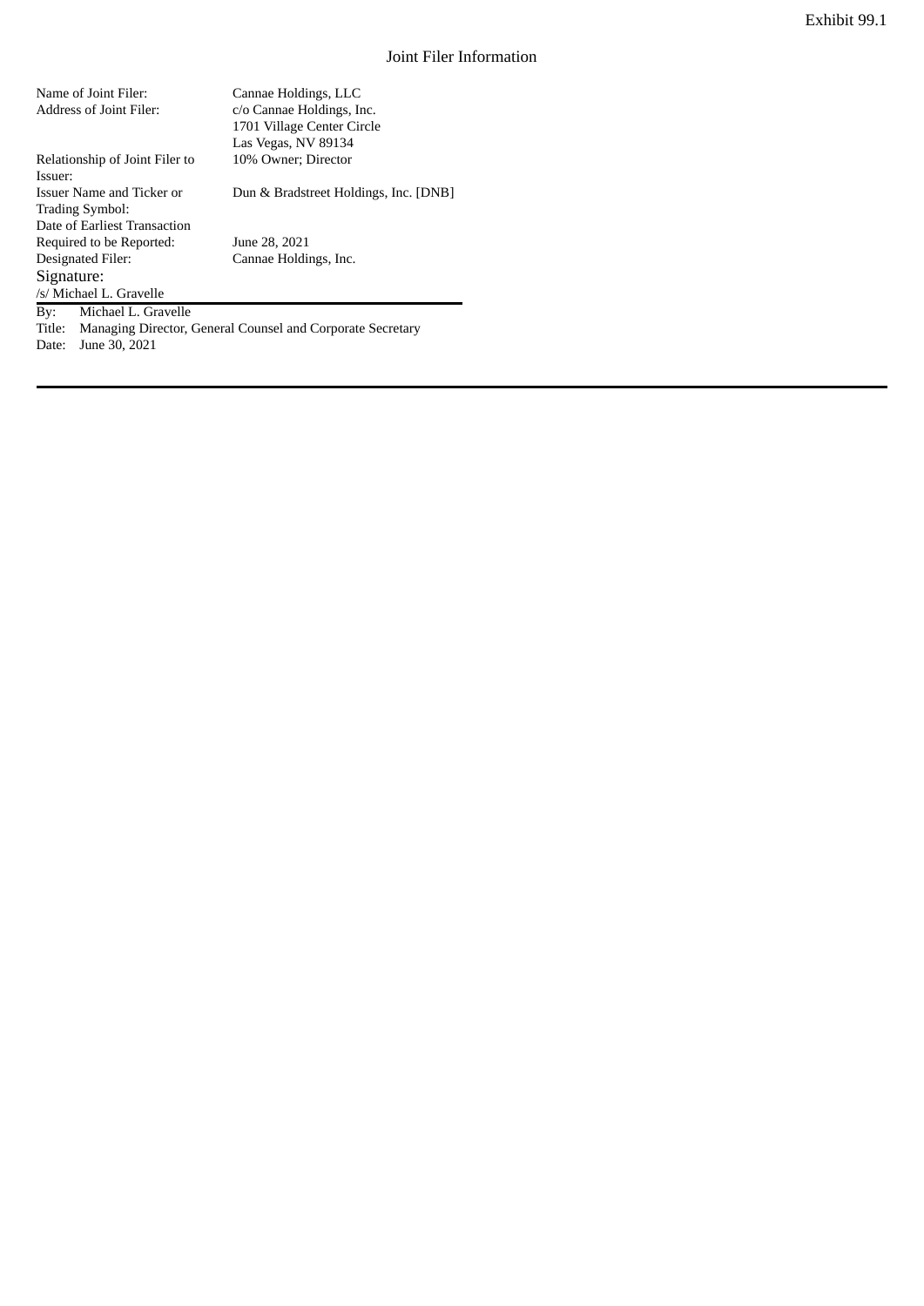| Name of Joint Filer:           | Cannae Holdings, LLC                  |
|--------------------------------|---------------------------------------|
| Address of Joint Filer:        | c/o Cannae Holdings, Inc.             |
|                                | 1701 Village Center Circle            |
|                                | Las Vegas, NV 89134                   |
| Relationship of Joint Filer to | 10% Owner; Director                   |
| Issuer:                        |                                       |
| Issuer Name and Ticker or      | Dun & Bradstreet Holdings, Inc. [DNB] |
| <b>Trading Symbol:</b>         |                                       |
| Date of Earliest Transaction   |                                       |
| Required to be Reported:       | June 28, 2021                         |
| Designated Filer:              | Cannae Holdings, Inc.                 |
| Signature:                     |                                       |
| /s/ Michael L. Gravelle        |                                       |
| Michael L. Gravelle<br>Bv:     |                                       |

Title: Managing Director, General Counsel and Corporate Secretary Date: June 30, 2021